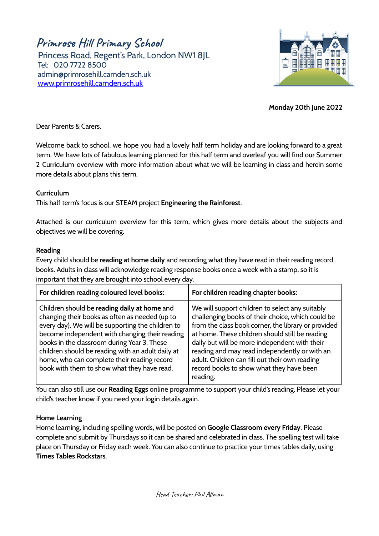**Primrose Hill Primary School**

Princess Road, Regent's Park, London NW1 8JL Tel: 020 7722 8500 [admin@primrosehill.camden.sch.uk](mailto:admin@primrosehill.camden.sch.uk) [www.primrosehill.camden.sch.uk](http://www.primrosehill.camden.sch.uk)



**Monday 20th June 2022**

Dear Parents & Carers,

Welcome back to school, we hope you had a lovely half term holiday and are looking forward to a great term. We have lots of fabulous learning planned for this half term and overleaf you will find our Summer 2 Curriculum overview with more information about what we will be learning in class and herein some more details about plans this term.

## **Curriculum**

This half term's focus is our STEAM project **Engineering the Rainforest**.

Attached is our curriculum overview for this term, which gives more details about the subjects and objectives we will be covering.

## **Reading**

Every child should be **reading at home daily** and recording what they have read in their reading record books. Adults in class will acknowledge reading response books once a week with a stamp, so it is important that they are brought into school every day.

| For children reading coloured level books:                                                                                                                                                                                                                                                                                                                                                              | For children reading chapter books:                                                                                                                                                                                                                                                                                                                                                                                        |
|---------------------------------------------------------------------------------------------------------------------------------------------------------------------------------------------------------------------------------------------------------------------------------------------------------------------------------------------------------------------------------------------------------|----------------------------------------------------------------------------------------------------------------------------------------------------------------------------------------------------------------------------------------------------------------------------------------------------------------------------------------------------------------------------------------------------------------------------|
| Children should be reading daily at home and<br>changing their books as often as needed (up to<br>every day). We will be supporting the children to<br>become independent with changing their reading<br>books in the classroom during Year 3. These<br>children should be reading with an adult daily at<br>home, who can complete their reading record<br>book with them to show what they have read. | We will support children to select any suitably<br>challenging books of their choice, which could be<br>from the class book corner, the library or provided<br>at home. These children should still be reading<br>daily but will be more independent with their<br>reading and may read independently or with an<br>adult. Children can fill out their own reading<br>record books to show what they have been<br>reading. |

You can also still use our **Reading Eggs** online programme to support your child's reading. Please let your child's teacher know if you need your login details again.

# **Home Learning**

Home learning, including spelling words, will be posted on **Google Classroom every Friday**. Please complete and submit by Thursdays so it can be shared and celebrated in class. The spelling test will take place on Thursday or Friday each week. You can also continue to practice your times tables daily, using **Times Tables Rockstars**.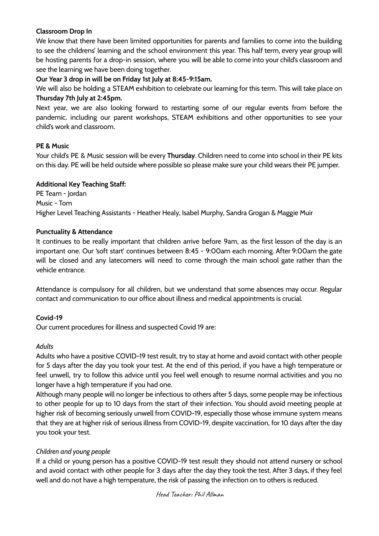## **Classroom Drop In**

We know that there have been limited opportunities for parents and families to come into the building to see the childrens' learning and the school environment this year. This half term, every year group will be hosting parents for a drop-in session, where you will be able to come into your child's classroom and see the learning we have been doing together.

## **Our Year 3 drop in will be on Friday 1st July at 8:45-9:15am.**

We will also be holding a STEAM exhibition to celebrate our learning for this term. This will take place on **Thursday 7th July at 2:45pm.**

Next year, we are also looking forward to restarting some of our regular events from before the pandemic, including our parent workshops, STEAM exhibitions and other opportunities to see your child's work and classroom.

## **PE & Music**

Your child's PE & Music session will be every **Thursday**. Children need to come into school in their PE kits on this day. PE will be held outside where possible so please make sure your child wears their PE jumper.

## **Additional Key Teaching Staff:**

PE Team - Jordan Music - Tom Higher Level Teaching Assistants - Heather Healy, Isabel Murphy, Sandra Grogan & Maggie Muir

## **Punctuality & Attendance**

It continues to be really important that children arrive before 9am, as the first lesson of the day is an important one. Our 'soft start' continues between 8:45 - 9:00am each morning. After 9:00am the gate will be closed and any latecomers will need to come through the main school gate rather than the vehicle entrance.

Attendance is compulsory for all children, but we understand that some absences may occur. Regular contact and communication to our office about illness and medical appointments is crucial.

# **Covid-19**

Our current procedures for illness and suspected Covid 19 are:

## *Adults*

Adults who have a positive COVID-19 test result, try to stay at home and avoid contact with other people for 5 days after the day you took your test. At the end of this period, if you have a high temperature or feel unwell, try to follow this advice until you feel well enough to resume normal activities and you no longer have a high temperature if you had one.

Although many people will no longer be infectious to others after 5 days, some people may be infectious to other people for up to 10 days from the start of their infection. You should avoid meeting people at higher risk of becoming seriously unwell from COVID-19, especially those whose immune system means that they are at higher risk of serious illness from COVID-19, despite vaccination, for 10 days after the day you took your test.

# *Children and young people*

If a child or young person has a positive COVID-19 test result they should not attend nursery or school and avoid contact with other people for 3 days after the day they took the test. After 3 days, if they feel well and do not have a high temperature, the risk of passing the infection on to others is reduced.

#### Head Teacher: Phil Allman